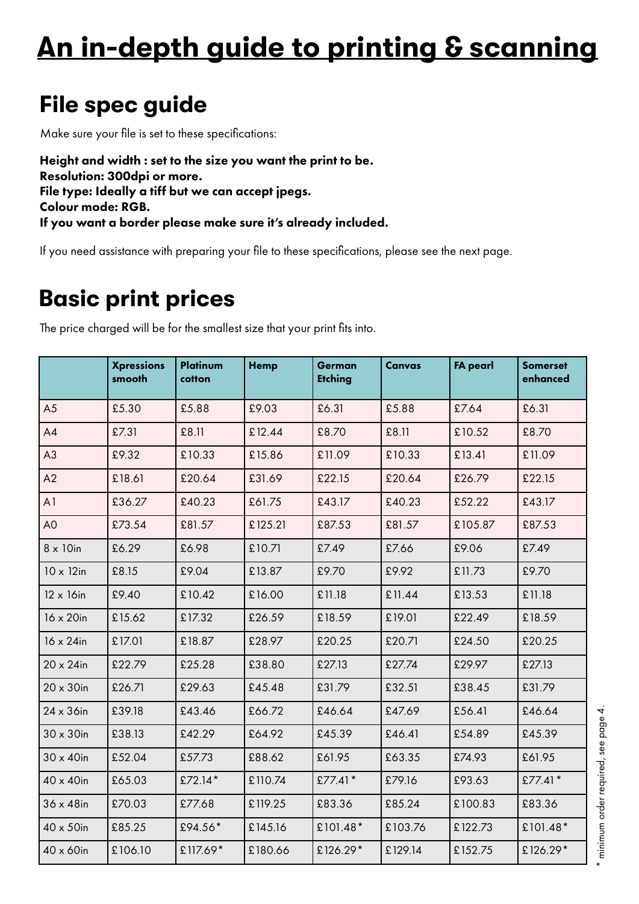## **An in-depth guide to printing & scanning**

### **File spec guide**

Make sure your file is set to these specifications:

Height and width : set to the size you want the print to be. Resolution: 300dpi or more. File type: Ideally a tiff but we can accept jpegs. Colour mode: RGB. If you want a border please make sure it's already included.

If you need assistance with preparing your file to these specifications, please see the next page.

### **Basic print prices**

|                   | <b>Xpressions</b><br>smooth | Platinum<br>cotton | <b>Hemp</b> | German<br><b>Etching</b> | Canvas  | <b>FA pearl</b> | <b>Somerset</b><br>enhanced |
|-------------------|-----------------------------|--------------------|-------------|--------------------------|---------|-----------------|-----------------------------|
| A <sub>5</sub>    | £5.30                       | £5.88              | £9.03       | £6.31                    | £5.88   | £7.64           | £6.31                       |
| A4                | £7.31                       | £8.11              | £12.44      | £8.70                    | £8.11   | £10.52          | £8.70                       |
| A3                | £9.32                       | £10.33             | £15.86      | £11.09                   | £10.33  | £13.41          | £11.09                      |
| A2                | £18.61                      | £20.64             | £31.69      | £22.15                   | £20.64  | £26.79          | £22.15                      |
| A <sub>1</sub>    | £36.27                      | £40.23             | £61.75      | £43.17                   | £40.23  | £52.22          | £43.17                      |
| A <sub>O</sub>    | £73.54                      | £81.57             | £125.21     | £87.53                   | £81.57  | £105.87         | £87.53                      |
| $8 \times 10$ in  | £6.29                       | £6.98              | £10.71      | £7.49                    | £7.66   | £9.06           | £7.49                       |
| $10 \times 12$ in | £8.15                       | £9.04              | £13.87      | £9.70                    | £9.92   | £11.73          | £9.70                       |
| $12 \times 16$ in | £9.40                       | £10.42             | £16.00      | £11.18                   | £11.44  | £13.53          | £11.18                      |
| 16 x 20in         | £15.62                      | £17.32             | £26.59      | £18.59                   | £19.01  | £22.49          | £18.59                      |
| 16 x 24in         | £17.01                      | £18.87             | £28.97      | £20.25                   | £20.71  | £24.50          | £20.25                      |
| $20 \times 24$ in | £22.79                      | £25.28             | £38.80      | £27.13                   | £27.74  | £29.97          | £27.13                      |
| $20 \times 30$ in | £26.71                      | £29.63             | £45.48      | £31.79                   | £32.51  | £38.45          | £31.79                      |
| $24 \times 36$ in | £39.18                      | £43.46             | £66.72      | £46.64                   | £47.69  | £56.41          | £46.64                      |
| $30 \times 30$ in | £38.13                      | £42.29             | £64.92      | £45.39                   | £46.41  | £54.89          | £45.39                      |
| $30 \times 40$ in | £52.04                      | £57.73             | £88.62      | £61.95                   | £63.35  | £74.93          | £61.95                      |
| 40 x 40in         | £65.03                      | £72.14*            | £110.74     | £77.41*                  | £79.16  | £93.63          | £77.41*                     |
| $36 \times 48$ in | £70.03                      | £77.68             | £119.25     | £83.36                   | £85.24  | £100.83         | £83.36                      |
| $40 \times 50$ in | £85.25                      | £94.56*            | £145.16     | £101.48*                 | £103.76 | £122.73         | £101.48*                    |
| 40 x 60in         | £106.10                     | £117.69*           | £180.66     | £126.29*                 | £129.14 | £152.75         | £126.29*                    |

The price charged will be for the smallest size that your print fits into.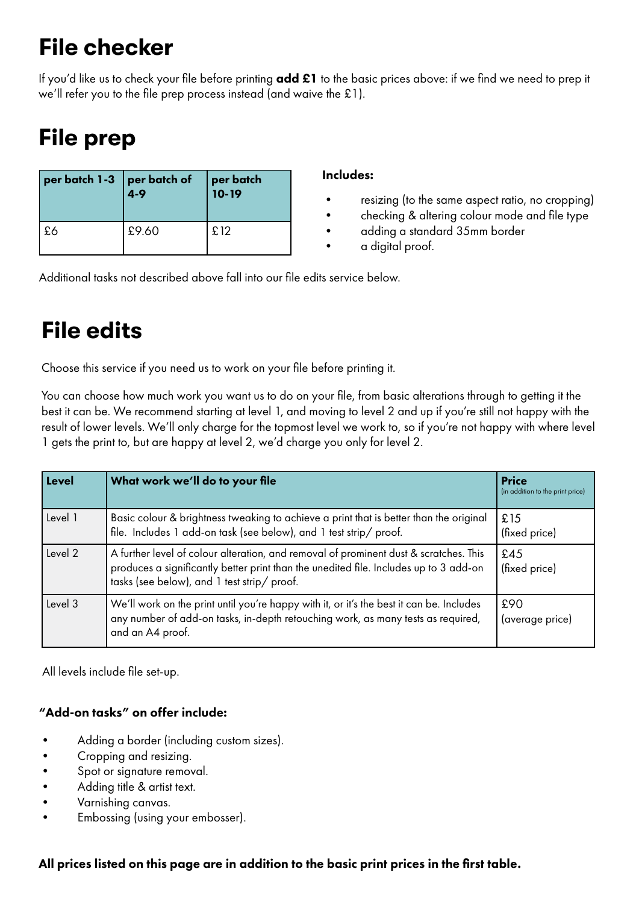### **File checker**

If you'd like us to check your file before printing  $add £1$  to the basic prices above: if we find we need to prep it we'll refer you to the file prep process instead (and waive the £1).

### **File prep**

| $\left[\begin{array}{c c} \mathsf{per\, batch\ 1-3} & \mathsf{per\, batch\ of} \\ \mathsf{4-9} & \end{array}\right]$ |       | $\vert$ per batch $\vert$ 10-19 |
|----------------------------------------------------------------------------------------------------------------------|-------|---------------------------------|
| ' £6                                                                                                                 | £9.60 | £12                             |

#### Includes:

- resizing (to the same aspect ratio, no cropping)
- checking & altering colour mode and file type
- adding a standard 35mm border
- a digital proof.

Additional tasks not described above fall into our file edits service below.

### **File edits**

Choose this service if you need us to work on your file before printing it.

You can choose how much work you want us to do on your file, from basic alterations through to getting it the best it can be. We recommend starting at level 1, and moving to level 2 and up if you're still not happy with the result of lower levels. We'll only charge for the topmost level we work to, so if you're not happy with where level 1 gets the print to, but are happy at level 2, we'd charge you only for level 2.

| <b>Level</b> | What work we'll do to your file                                                                                                                                                                                               | <b>Price</b><br>(in addition to the print price) |
|--------------|-------------------------------------------------------------------------------------------------------------------------------------------------------------------------------------------------------------------------------|--------------------------------------------------|
| Level 1      | Basic colour & brightness tweaking to achieve a print that is better than the original<br>file. Includes 1 add-on task (see below), and 1 test strip/ proof.                                                                  | £15<br>(fixed price)                             |
| Level 2      | A further level of colour alteration, and removal of prominent dust & scratches. This<br>produces a significantly better print than the unedited file. Includes up to 3 add-on<br>tasks (see below), and 1 test strip/ proof. | £45<br>(fixed price)                             |
| Level 3      | We'll work on the print until you're happy with it, or it's the best it can be. Includes<br>any number of add-on tasks, in-depth retouching work, as many tests as required,<br>and an A4 proof.                              | £90<br>(average price)                           |

All levels include file set-up.

#### "Add-on tasks" on offer include:

- Adding a border (including custom sizes).
- Cropping and resizing.
- Spot or signature removal.
- Adding title & artist text.
- Varnishing canvas.
- Embossing (using your embosser).

#### All prices listed on this page are in addition to the basic print prices in the first table.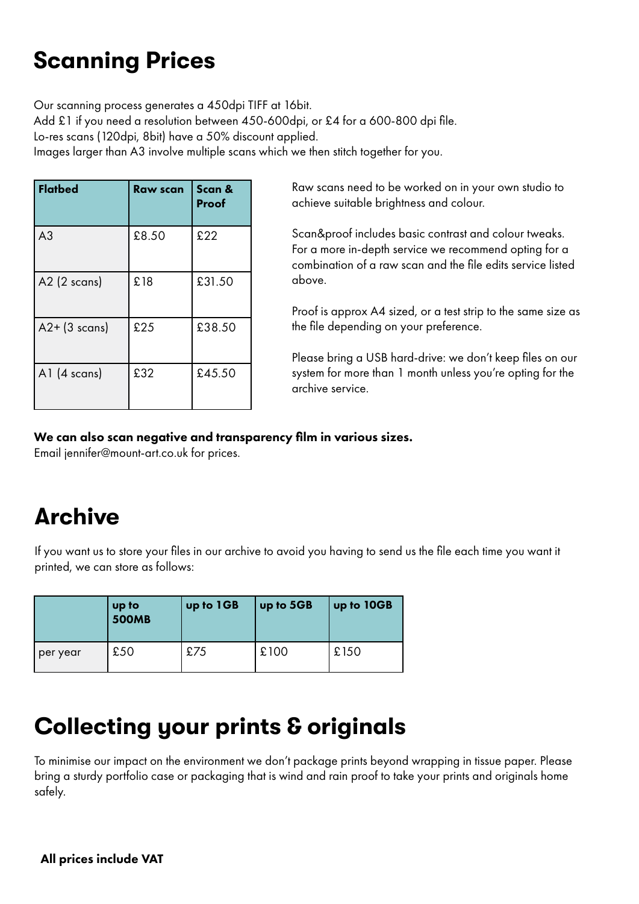### **Scanning Prices**

Our scanning process generates a 450dpi TIFF at 16bit. Add £1 if you need a resolution between 450-600dpi, or £4 for a 600-800 dpi file. Lo-res scans (120dpi, 8bit) have a 50% discount applied. Images larger than A3 involve multiple scans which we then stitch together for you.

| <b>Flatbed</b>  | Raw scan | Scan &<br>Proof |
|-----------------|----------|-----------------|
| A <sub>3</sub>  | £8.50    | £22             |
| $A2$ (2 scans)  | £18      | £31.50          |
| $A2+$ (3 scans) | £25      | £38.50          |
| A1 $(4$ scans)  | £32      | £45.50          |

Raw scans need to be worked on in your own studio to achieve suitable brightness and colour.

Scan&proof includes basic contrast and colour tweaks. For a more in-depth service we recommend opting for a combination of a raw scan and the file edits service listed above.

Proof is approx A4 sized, or a test strip to the same size as the file depending on your preference.

Please bring a USB hard-drive: we don't keep files on our system for more than 1 month unless you're opting for the archive service.

#### We can also scan negative and transparency film in various sizes.

Email jennifer@mount-art.co.uk for prices.

### **Archive**

If you want us to store your files in our archive to avoid you having to send us the file each time you want it printed, we can store as follows:

|          | up to<br><b>500MB</b> | up to 1GB | up to 5GB | up to 10GB |
|----------|-----------------------|-----------|-----------|------------|
| per year | £50                   | £75       | £100      | £150       |

### **Collecting your prints & originals**

To minimise our impact on the environment we don't package prints beyond wrapping in tissue paper. Please bring a sturdy portfolio case or packaging that is wind and rain proof to take your prints and originals home safely.